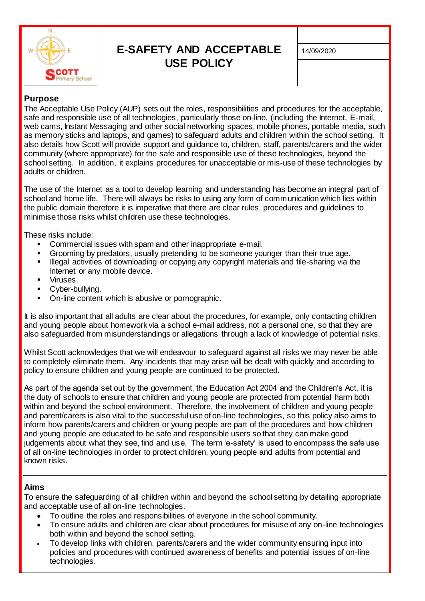

# **E-SAFETY AND ACCEPTABLE USE POLICY**

# **Purpose**

The Acceptable Use Policy (AUP) sets out the roles, responsibilities and procedures for the acceptable, safe and responsible use of all technologies, particularly those on-line, (including the Internet, E-mail, web cams, Instant Messaging and other social networking spaces, mobile phones, portable media, such as memory sticks and laptops, and games) to safeguard adults and children within the school setting. It also details how Scott will provide support and guidance to, children, staff, parents/carers and the wider community (where appropriate) for the safe and responsible use of these technologies, beyond the school setting. In addition, it explains procedures for unacceptable or mis-use of these technologies by adults or children.

The use of the Internet as a tool to develop learning and understanding has become an integral part of school and home life. There will always be risks to using any form of communication which lies within the public domain therefore it is imperative that there are clear rules, procedures and guidelines to minimise those risks whilst children use these technologies.

These risks include:

- Commercial issues with spam and other inappropriate e-mail.
- Grooming by predators, usually pretending to be someone younger than their true age.
- Illegal activities of downloading or copying any copyright materials and file-sharing via the Internet or any mobile device.
- Viruses.
- Cyber-bullying.
- On-line content which is abusive or pornographic.

It is also important that all adults are clear about the procedures, for example, only contacting children and young people about homework via a school e-mail address, not a personal one, so that they are also safeguarded from misunderstandings or allegations through a lack of knowledge of potential risks.

Whilst Scott acknowledges that we will endeavour to safeguard against all risks we may never be able to completely eliminate them. Any incidents that may arise will be dealt with quickly and according to policy to ensure children and young people are continued to be protected.

As part of the agenda set out by the government, the Education Act 2004 and the Children's Act, it is the duty of schools to ensure that children and young people are protected from potential harm both within and beyond the school environment. Therefore, the involvement of children and young people and parent/carers is also vital to the successful use of on-line technologies, so this policy also aims to inform how parents/carers and children or young people are part of the procedures and how children and young people are educated to be safe and responsible users so that they can make good judgements about what they see, find and use. The term 'e-safety' is used to encompass the safe use of all on-line technologies in order to protect children, young people and adults from potential and known risks.

# **Aims**

To ensure the safeguarding of all children within and beyond the school setting by detailing appropriate and acceptable use of all on-line technologies.

- To outline the roles and responsibilities of everyone in the school community.
- To ensure adults and children are clear about procedures for misuse of any on-line technologies both within and beyond the school setting.
- To develop links with children, parents/carers and the wider community ensuring input into policies and procedures with continued awareness of benefits and potential issues of on-line technologies.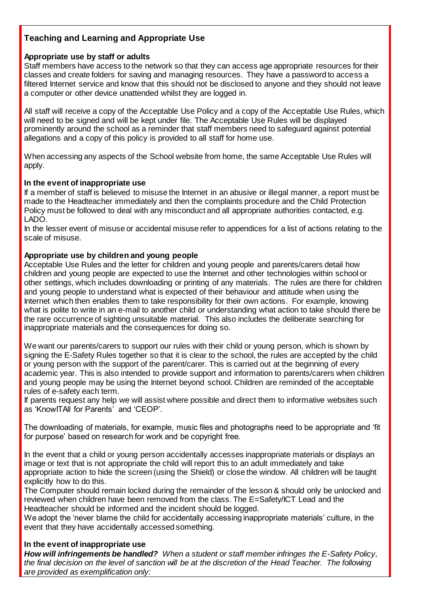# **Teaching and Learning and Appropriate Use**

### **Appropriate use by staff or adults**

Staff members have access to the network so that they can access age appropriate resources for their classes and create folders for saving and managing resources. They have a password to access a filtered Internet service and know that this should not be disclosed to anyone and they should not leave a computer or other device unattended whilst they are logged in.

All staff will receive a copy of the Acceptable Use Policy and a copy of the Acceptable Use Rules, which will need to be signed and will be kept under file. The Acceptable Use Rules will be displayed prominently around the school as a reminder that staff members need to safeguard against potential allegations and a copy of this policy is provided to all staff for home use.

When accessing any aspects of the School website from home, the same Acceptable Use Rules will apply.

#### **In the event of inappropriate use**

If a member of staff is believed to misuse the Internet in an abusive or illegal manner, a report must be made to the Headteacher immediately and then the complaints procedure and the Child Protection Policy must be followed to deal with any misconduct and all appropriate authorities contacted, e.g. LADO.

In the lesser event of misuse or accidental misuse refer to appendices for a list of actions relating to the scale of misuse.

# **Appropriate use by children and young people**

Acceptable Use Rules and the letter for children and young people and parents/carers detail how children and young people are expected to use the Internet and other technologies within school or other settings, which includes downloading or printing of any materials. The rules are there for children and young people to understand what is expected of their behaviour and attitude when using the Internet which then enables them to take responsibility for their own actions. For example, knowing what is polite to write in an e-mail to another child or understanding what action to take should there be the rare occurrence of sighting unsuitable material. This also includes the deliberate searching for inappropriate materials and the consequences for doing so.

We want our parents/carers to support our rules with their child or young person, which is shown by signing the E-Safety Rules together so that it is clear to the school, the rules are accepted by the child or young person with the support of the parent/carer. This is carried out at the beginning of every academic year. This is also intended to provide support and information to parents/carers when children and young people may be using the Internet beyond school. Children are reminded of the acceptable rules of e-safety each term.

If parents request any help we will assist where possible and direct them to informative websites such as 'KnowITAll for Parents' and 'CEOP'.

The downloading of materials, for example, music files and photographs need to be appropriate and 'fit for purpose' based on research for work and be copyright free.

In the event that a child or young person accidentally accesses inappropriate materials or displays an image or text that is not appropriate the child will report this to an adult immediately and take appropriate action to hide the screen (using the Shield) or close the window. All children will be taught explicitly how to do this.

The Computer should remain locked during the remainder of the lesson & should only be unlocked and reviewed when children have been removed from the class. The E=Safety/ICT Lead and the Headteacher should be informed and the incident should be logged.

We adopt the 'never blame the child for accidentally accessing inappropriate materials' culture, in the event that they have accidentally accessed something.

#### **In the event of inappropriate use**

*How will infringements be handled? When a student or staff member infringes the E-Safety Policy, the final decision on the level of sanction will be at the discretion of the Head Teacher. The following are provided as exemplification only:*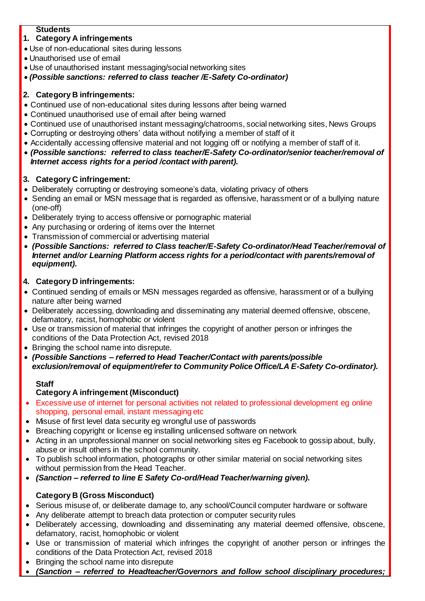# **Students**

# **1. Category A infringements**

- Use of non-educational sites during lessons
- Unauthorised use of email
- Use of unauthorised instant messaging/social networking sites
- *(Possible sanctions: referred to class teacher /E-Safety Co-ordinator)*

# **2. Category B infringements:**

- Continued use of non-educational sites during lessons after being warned
- Continued unauthorised use of email after being warned
- Continued use of unauthorised instant messaging/chatrooms, social networking sites, News Groups
- Corrupting or destroying others' data without notifying a member of staff of it
- Accidentally accessing offensive material and not logging off or notifying a member of staff of it.
- *(Possible sanctions: referred to class teacher/E-Safety Co-ordinator/senior teacher/removal of Internet access rights for a period /contact with parent).*

# **3. Category C infringement:**

- Deliberately corrupting or destroying someone's data, violating privacy of others
- Sending an email or MSN message that is regarded as offensive, harassment or of a bullying nature (one-off)
- Deliberately trying to access offensive or pornographic material
- Any purchasing or ordering of items over the Internet
- Transmission of commercial or advertising material
- *(Possible Sanctions: referred to Class teacher/E-Safety Co-ordinator/Head Teacher/removal of Internet and/or Learning Platform access rights for a period/contact with parents/removal of equipment).*

# **4. Category D infringements:**

- Continued sending of emails or MSN messages regarded as offensive, harassment or of a bullying nature after being warned
- Deliberately accessing, downloading and disseminating any material deemed offensive, obscene, defamatory, racist, homophobic or violent
- Use or transmission of material that infringes the copyright of another person or infringes the conditions of the Data Protection Act, revised 2018
- Bringing the school name into disrepute.
- *(Possible Sanctions – referred to Head Teacher/Contact with parents/possible exclusion/removal of equipment/refer to Community Police Office/LA E-Safety Co-ordinator).*

# **Staff**

# **Category A infringement (Misconduct)**

- Excessive use of internet for personal activities not related to professional development eg online shopping, personal email, instant messaging etc
- Misuse of first level data security eg wrongful use of passwords
- Breaching copyright or license eg installing unlicensed software on network
- Acting in an unprofessional manner on social networking sites eg Facebook to gossip about, bully, abuse or insult others in the school community.
- To publish school information, photographs or other similar material on social networking sites without permission from the Head Teacher.
- *(Sanction – referred to line E Safety Co-ord/Head Teacher/warning given).*

# **Category B (Gross Misconduct)**

- Serious misuse of, or deliberate damage to, any school/Council computer hardware or software
- Any deliberate attempt to breach data protection or computer security rules
- Deliberately accessing, downloading and disseminating any material deemed offensive, obscene, defamatory, racist, homophobic or violent
- Use or transmission of material which infringes the copyright of another person or infringes the conditions of the Data Protection Act, revised 2018
- Bringing the school name into disrepute
- *(Sanction – referred to Headteacher/Governors and follow school disciplinary procedures;*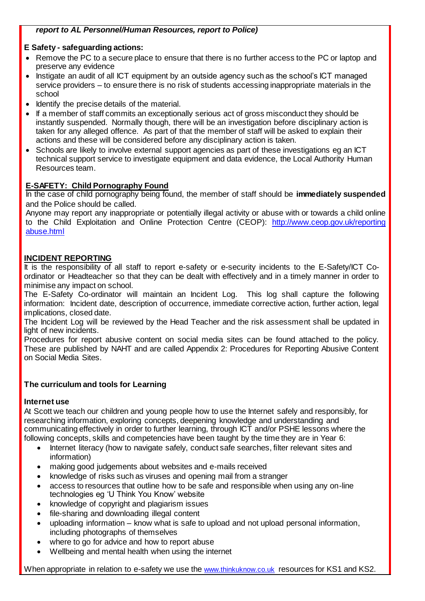# *report to AL Personnel/Human Resources, report to Police)*

# **E Safety - safeguarding actions:**

- Remove the PC to a secure place to ensure that there is no further access to the PC or laptop and preserve any evidence
- Instigate an audit of all ICT equipment by an outside agency such as the school's ICT managed service providers – to ensure there is no risk of students accessing inappropriate materials in the school
- Identify the precise details of the material.
- If a member of staff commits an exceptionally serious act of gross misconduct they should be instantly suspended. Normally though, there will be an investigation before disciplinary action is taken for any alleged offence. As part of that the member of staff will be asked to explain their actions and these will be considered before any disciplinary action is taken.
- Schools are likely to involve external support agencies as part of these investigations eg an ICT technical support service to investigate equipment and data evidence, the Local Authority Human Resources team.

# **E-SAFETY: Child Pornography Found**

In the case of child pornography being found, the member of staff should be **immediately suspended** and the Police should be called.

Anyone may report any inappropriate or potentially illegal activity or abuse with or towards a child online to the Child Exploitation and Online Protection Centre (CEOP): [http://www.ceop.gov.uk/reporting](http://www.ceop.gov.uk/reporting%20abuse.html)  [abuse.html](http://www.ceop.gov.uk/reporting%20abuse.html)

### **INCIDENT REPORTING**

It is the responsibility of all staff to report e-safety or e-security incidents to the E-Safety/ICT Coordinator or Headteacher so that they can be dealt with effectively and in a timely manner in order to minimise any impact on school.

The E-Safety Co-ordinator will maintain an Incident Log. This log shall capture the following information: Incident date, description of occurrence, immediate corrective action, further action, legal implications, closed date.

The Incident Log will be reviewed by the Head Teacher and the risk assessment shall be updated in light of new incidents.

Procedures for report abusive content on social media sites can be found attached to the policy. These are published by NAHT and are called Appendix 2: Procedures for Reporting Abusive Content on Social Media Sites.

#### **The curriculum and tools for Learning**

#### **Internet use**

At Scott we teach our children and young people how to use the Internet safely and responsibly, for researching information, exploring concepts, deepening knowledge and understanding and communicating effectively in order to further learning, through ICT and/or PSHE lessons where the following concepts, skills and competencies have been taught by the time they are in Year 6:

- Internet literacy (how to navigate safely, conduct safe searches, filter relevant sites and information)
- making good judgements about websites and e-mails received
- knowledge of risks such as viruses and opening mail from a stranger
- access to resources that outline how to be safe and responsible when using any on-line technologies eg 'U Think You Know' website
- knowledge of copyright and plagiarism issues
- file-sharing and downloading illegal content
- uploading information know what is safe to upload and not upload personal information, including photographs of themselves
- where to go for advice and how to report abuse
- Wellbeing and mental health when using the internet

When appropriate in relation to e-safety we use the [www.thinkuknow.co.uk](http://www.thinkuknow.co.uk/) resources for KS1 and KS2.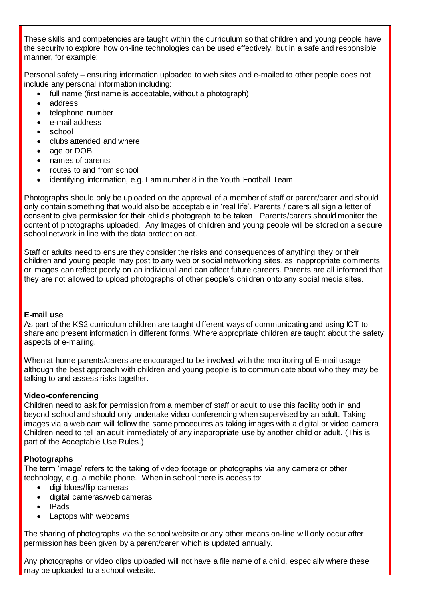These skills and competencies are taught within the curriculum so that children and young people have the security to explore how on-line technologies can be used effectively, but in a safe and responsible manner, for example:

Personal safety – ensuring information uploaded to web sites and e-mailed to other people does not include any personal information including:

- full name (first name is acceptable, without a photograph)
- address
- telephone number
- e-mail address
- school
- clubs attended and where
- age or DOB
- names of parents
- routes to and from school
- identifying information, e.g. I am number 8 in the Youth Football Team

Photographs should only be uploaded on the approval of a member of staff or parent/carer and should only contain something that would also be acceptable in 'real life'. Parents / carers all sign a letter of consent to give permission for their child's photograph to be taken. Parents/carers should monitor the content of photographs uploaded. Any Images of children and young people will be stored on a secure school network in line with the data protection act.

Staff or adults need to ensure they consider the risks and consequences of anything they or their children and young people may post to any web or social networking sites, as inappropriate comments or images can reflect poorly on an individual and can affect future careers. Parents are all informed that they are not allowed to upload photographs of other people's children onto any social media sites.

#### **E-mail use**

As part of the KS2 curriculum children are taught different ways of communicating and using ICT to share and present information in different forms. Where appropriate children are taught about the safety aspects of e-mailing.

When at home parents/carers are encouraged to be involved with the monitoring of E-mail usage although the best approach with children and young people is to communicate about who they may be talking to and assess risks together.

#### **Video-conferencing**

Children need to ask for permission from a member of staff or adult to use this facility both in and beyond school and should only undertake video conferencing when supervised by an adult. Taking images via a web cam will follow the same procedures as taking images with a digital or video camera Children need to tell an adult immediately of any inappropriate use by another child or adult. (This is part of the Acceptable Use Rules.)

#### **Photographs**

The term 'image' refers to the taking of video footage or photographs via any camera or other technology, e.g. a mobile phone. When in school there is access to:

- digi blues/flip cameras
- digital cameras/web cameras
- IPads
- Laptops with webcams

The sharing of photographs via the school website or any other means on-line will only occur after permission has been given by a parent/carer which is updated annually.

Any photographs or video clips uploaded will not have a file name of a child, especially where these may be uploaded to a school website.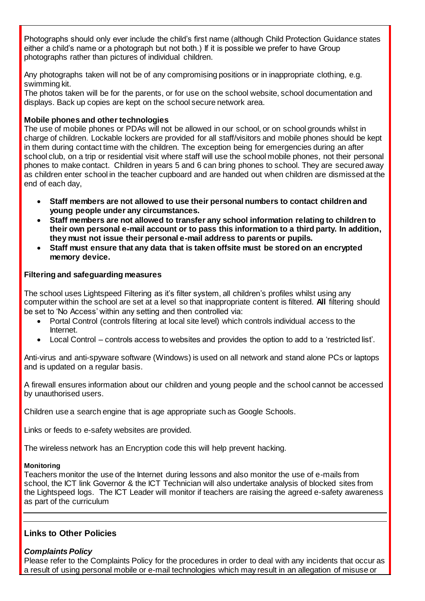Photographs should only ever include the child's first name (although Child Protection Guidance states either a child's name or a photograph but not both.) If it is possible we prefer to have Group photographs rather than pictures of individual children.

Any photographs taken will not be of any compromising positions or in inappropriate clothing, e.g. swimming kit.

The photos taken will be for the parents, or for use on the school website, school documentation and displays. Back up copies are kept on the school secure network area*.*

### **Mobile phones and other technologies**

The use of mobile phones or PDAs will not be allowed in our school, or on school grounds whilst in charge of children. Lockable lockers are provided for all staff/visitors and mobile phones should be kept in them during contact time with the children. The exception being for emergencies during an after school club, on a trip or residential visit where staff will use the school mobile phones, not their personal phones to make contact. Children in years 5 and 6 can bring phones to school. They are secured away as children enter school in the teacher cupboard and are handed out when children are dismissed at the end of each day,

- **Staff members are not allowed to use their personal numbers to contact children and young people under any circumstances.**
- **Staff members are not allowed to transfer any school information relating to children to their own personal e-mail account or to pass this information to a third party. In addition, they must not issue their personal e-mail address to parents or pupils.**
- **Staff must ensure that any data that is taken offsite must be stored on an encrypted memory device.**

#### **Filtering and safeguarding measures**

The school uses Lightspeed Filtering as it's filter system, all children's profiles whilst using any computer within the school are set at a level so that inappropriate content is filtered. **All** filtering should be set to 'No Access' within any setting and then controlled via:

- Portal Control (controls filtering at local site level) which controls individual access to the Internet.
- Local Control controls access to websites and provides the option to add to a 'restricted list'.

Anti-virus and anti-spyware software (Windows) is used on all network and stand alone PCs or laptops and is updated on a regular basis.

A firewall ensures information about our children and young people and the school cannot be accessed by unauthorised users.

Children use a search engine that is age appropriate such as Google Schools.

Links or feeds to e-safety websites are provided.

The wireless network has an Encryption code this will help prevent hacking.

#### **Monitoring**

Teachers monitor the use of the Internet during lessons and also monitor the use of e-mails from school, the ICT link Governor & the ICT Technician will also undertake analysis of blocked sites from the Lightspeed logs. The ICT Leader will monitor if teachers are raising the agreed e-safety awareness as part of the curriculum

# **Links to Other Policies**

# *Complaints Policy*

Please refer to the Complaints Policy for the procedures in order to deal with any incidents that occur as a result of using personal mobile or e-mail technologies which may result in an allegation of misuse or